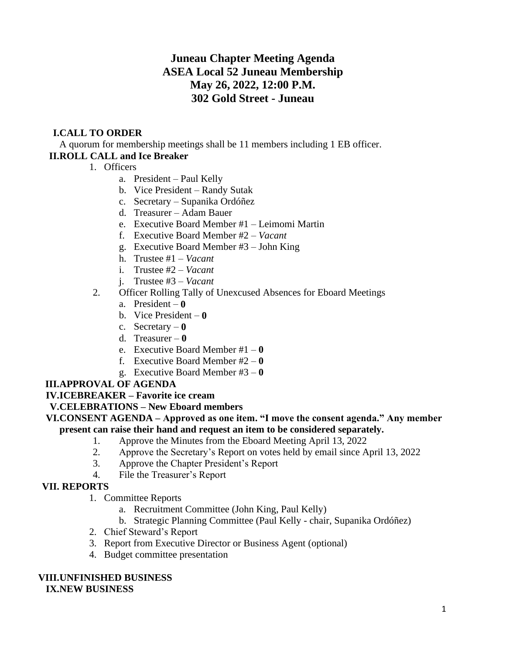# **Juneau Chapter Meeting Agenda ASEA Local 52 Juneau Membership May 26, 2022, 12:00 P.M. 302 Gold Street - Juneau**

## **I.CALL TO ORDER**

A quorum for membership meetings shall be 11 members including 1 EB officer.

## **II.ROLL CALL and Ice Breaker**

- 1. Officers
	- a. President Paul Kelly
	- b. Vice President Randy Sutak
	- c. Secretary Supanika Ordóñez
	- d. Treasurer Adam Bauer
	- e. Executive Board Member #1 Leimomi Martin
	- f. Executive Board Member #2 *Vacant*
	- g. Executive Board Member #3 John King
	- h. Trustee #1 *Vacant*
	- i. Trustee #2 *Vacant*
	- j. Trustee #3 *Vacant*

#### 2. Officer Rolling Tally of Unexcused Absences for Eboard Meetings

- a. President **0**
- b. Vice President **0**
- c. Secretary **0**
- d. Treasurer **0**
- e. Executive Board Member #1 **0**
- f. Executive Board Member #2 **0**
- g. Executive Board Member #3 **0**

## **III.APPROVAL OF AGENDA**

## **IV.ICEBREAKER – Favorite ice cream**

## **V.CELEBRATIONS – New Eboard members**

#### **VI.CONSENT AGENDA – Approved as one item. "I move the consent agenda." Any member present can raise their hand and request an item to be considered separately.**

- 1. Approve the Minutes from the Eboard Meeting April 13, 2022
- 2. Approve the Secretary's Report on votes held by email since April 13, 2022
- 3. Approve the Chapter President's Report
- 4. File the Treasurer's Report

## **VII. REPORTS**

- 1. Committee Reports
	- a. Recruitment Committee (John King, Paul Kelly)
	- b. Strategic Planning Committee (Paul Kelly chair, Supanika Ordóñez)
- 2. Chief Steward's Report
- 3. Report from Executive Director or Business Agent (optional)
- 4. Budget committee presentation

# **VIII.UNFINISHED BUSINESS**

#### **IX.NEW BUSINESS**